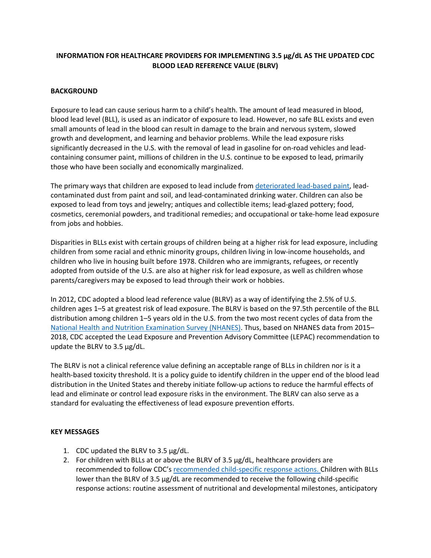# **INFORMATION FOR HEALTHCARE PROVIDERS FOR IMPLEMENTING 3.5 μg/dL AS THE UPDATED CDC BLOOD LEAD REFERENCE VALUE (BLRV)**

### **BACKGROUND**

Exposure to lead can cause serious harm to a child's health. The amount of lead measured in blood, blood lead level (BLL), is used as an indicator of exposure to lead. However, no safe BLL exists and even small amounts of lead in the blood can result in damage to the brain and nervous system, slowed growth and development, and learning and behavior problems. While the lead exposure risks significantly decreased in the U.S. with the removal of lead in gasoline for on-road vehicles and leadcontaining consumer paint, millions of children in the U.S. continue to be exposed to lead, primarily those who have been socially and economically marginalized.

The primary ways that children are exposed to lead include from [deteriorated lead-based paint,](https://www.cdc.gov/nceh/lead/prevention/sources/paint.htm) leadcontaminated dust from paint and soil, and lead-contaminated drinking water. Children can also be exposed to lead from toys and jewelry; antiques and collectible items; lead-glazed pottery; food, cosmetics, ceremonial powders, and traditional remedies; and occupational or take-home lead exposure from jobs and hobbies.

Disparities in BLLs exist with certain groups of children being at a higher risk for lead exposure, including children from some racial and ethnic minority groups, children living in low-income households, and children who live in housing built before 1978. Children who are immigrants, refugees, or recently adopted from outside of the U.S. are also at higher risk for lead exposure, as well as children whose parents/caregivers may be exposed to lead through their work or hobbies.

In 2012, CDC adopted a blood lead reference value (BLRV) as a way of identifying the 2.5% of U.S. children ages 1–5 at greatest risk of lead exposure. The BLRV is based on the 97.5th percentile of the BLL distribution among children 1–5 years old in the U.S. from the two most recent cycles of data from the [National Health and Nutrition Examination Survey \(NHANES\).](https://www.cdc.gov/nchs/nhanes/index.htm) Thus, based on NHANES data from 2015– 2018, CDC accepted the Lead Exposure and Prevention Advisory Committee (LEPAC) recommendation to update the BLRV to 3.5 μg/dL.

The BLRV is not a clinical reference value defining an acceptable range of BLLs in children nor is it a health-based toxicity threshold. It is a policy guide to identify children in the upper end of the blood lead distribution in the United States and thereby initiate follow-up actions to reduce the harmful effects of lead and eliminate or control lead exposure risks in the environment. The BLRV can also serve as a standard for evaluating the effectiveness of lead exposure prevention efforts.

### **KEY MESSAGES**

- 1. CDC updated the BLRV to 3.5 μg/dL.
- 2. For children with BLLs at or above the BLRV of 3.5  $\mu$ g/dL, healthcare providers are recommended to follow CDC's [recommended child-specific response actions.](https://www.cdc.gov/nceh/lead/advisory/acclpp/actions-blls.htm) Children with BLLs lower than the BLRV of 3.5 μg/dL are recommended to receive the following child-specific response actions: routine assessment of nutritional and developmental milestones, anticipatory